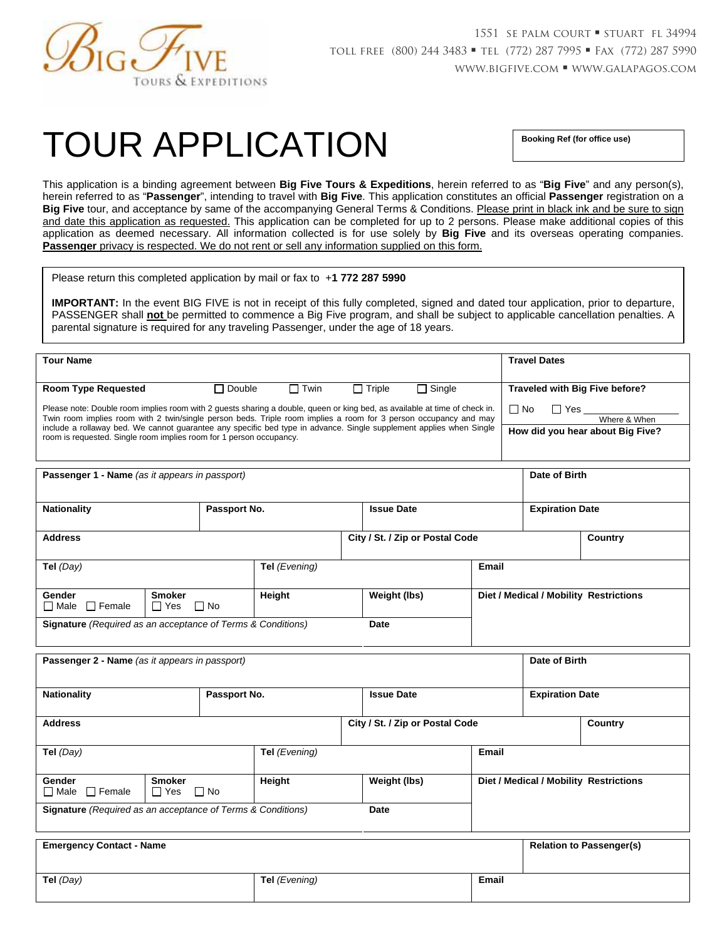

# TOUR APPLICATION **Booking Ref (for office use)**

This application is a binding agreement between **Big Five Tours & Expeditions**, herein referred to as "**Big Five**" and any person(s), herein referred to as "**Passenger**", intending to travel with **Big Five**. This application constitutes an official **Passenger** registration on a **Big Five** tour, and acceptance by same of the accompanying General Terms & Conditions. Please print in black ink and be sure to sign and date this application as requested. This application can be completed for up to 2 persons. Please make additional copies of this application as deemed necessary. All information collected is for use solely by **Big Five** and its overseas operating companies. **Passenger** privacy is respected. We do not rent or sell any information supplied on this form.

Please return this completed application by mail or fax to +**1 772 287 5990**

**IMPORTANT:** In the event BIG FIVE is not in receipt of this fully completed, signed and dated tour application, prior to departure, PASSENGER shall **not** be permitted to commence a Big Five program, and shall be subject to applicable cancellation penalties. A parental signature is required for any traveling Passenger, under the age of 18 years.

| <b>Tour Name</b>                                                                                                                                                                                                                                                                                                                                                                                                                             |          |             |          |               | <b>Travel Dates</b>                                                    |
|----------------------------------------------------------------------------------------------------------------------------------------------------------------------------------------------------------------------------------------------------------------------------------------------------------------------------------------------------------------------------------------------------------------------------------------------|----------|-------------|----------|---------------|------------------------------------------------------------------------|
| <b>Room Type Requested</b>                                                                                                                                                                                                                                                                                                                                                                                                                   | l Double | $\Box$ Twin | l Triple | $\Box$ Single | Traveled with Big Five before?                                         |
| Please note: Double room implies room with 2 guests sharing a double, queen or king bed, as available at time of check in.<br>Twin room implies room with 2 twin/single person beds. Triple room implies a room for 3 person occupancy and may<br>include a rollaway bed. We cannot guarantee any specific bed type in advance. Single supplement applies when Single<br>room is requested. Single room implies room for 1 person occupancy. |          |             |          |               | $\Box$ No<br>□ Yes<br>Where & When<br>How did you hear about Big Five? |

| <b>Passenger 1 - Name</b> (as it appears in passport) |                                                                    |               |                                 | Date of Birth |                        |                                        |
|-------------------------------------------------------|--------------------------------------------------------------------|---------------|---------------------------------|---------------|------------------------|----------------------------------------|
| <b>Nationality</b>                                    | Passport No.                                                       |               | <b>Issue Date</b>               |               | <b>Expiration Date</b> |                                        |
| <b>Address</b>                                        |                                                                    |               | City / St. / Zip or Postal Code |               |                        | Country                                |
| Tel (Day)                                             |                                                                    | Tel (Evening) |                                 | <b>Email</b>  |                        |                                        |
| Gender<br>$\Box$ Male $\Box$ Female                   | <b>Smoker</b><br>$\Box$ Yes<br>$\Box$ No                           | Height        | Weight (lbs)                    |               |                        | Diet / Medical / Mobility Restrictions |
|                                                       | <b>Signature</b> (Required as an acceptance of Terms & Conditions) |               | Date                            |               |                        |                                        |

| <b>Passenger 2 - Name</b> (as it appears in passport)              |                                          |        |                   |  | Date of Birth          |                                        |
|--------------------------------------------------------------------|------------------------------------------|--------|-------------------|--|------------------------|----------------------------------------|
| <b>Nationality</b><br>Passport No.                                 |                                          |        | <b>Issue Date</b> |  | <b>Expiration Date</b> |                                        |
| City / St. / Zip or Postal Code<br><b>Address</b>                  |                                          |        |                   |  | Country                |                                        |
| Tel $(Day)$<br>Tel (Evening)                                       |                                          |        | Email             |  |                        |                                        |
| Gender<br>$\Box$ Female<br>$\Box$ Male                             | <b>Smoker</b><br>$\Box$ Yes<br>$\Box$ No | Height | Weight (lbs)      |  |                        | Diet / Medical / Mobility Restrictions |
| <b>Signature</b> (Required as an acceptance of Terms & Conditions) |                                          |        | Date              |  |                        |                                        |

| <b>Emergency Contact - Name</b> |                      |       | <b>Relation to Passenger(s)</b> |
|---------------------------------|----------------------|-------|---------------------------------|
| Tel $(Day)$                     | <b>Tel</b> (Evening) | Email |                                 |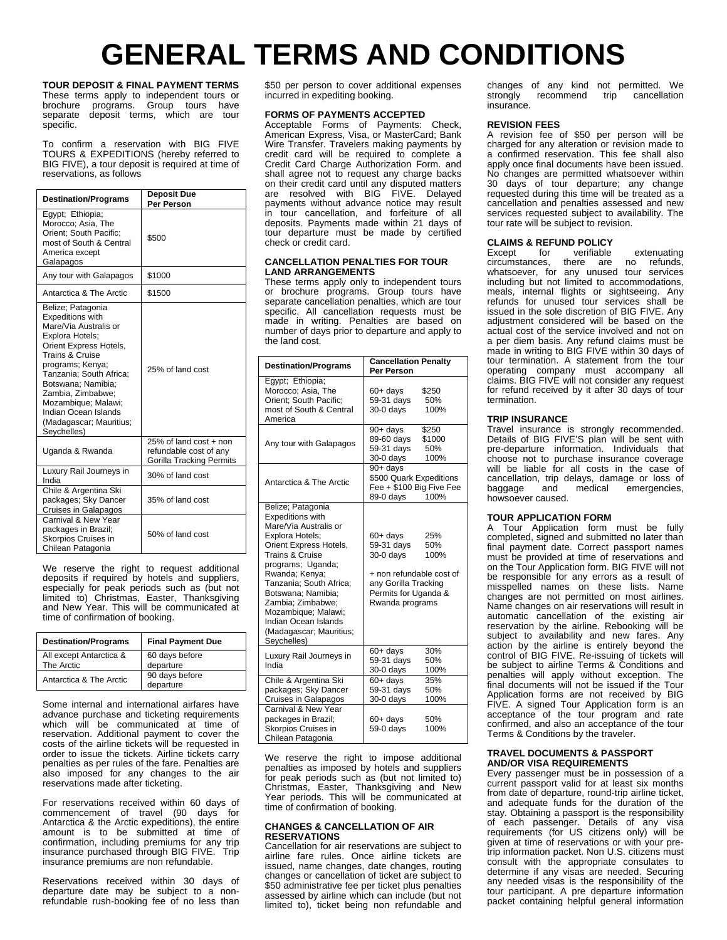## **GENERAL TERMS AND CONDITIONS**

**TOUR DEPOSIT & FINAL PAYMENT TERMS** These terms apply to independent tours or brochure programs. Group tours have separate deposit terms, which are tour specific.

To confirm a reservation with BIG FIVE TOURS & EXPEDITIONS (hereby referred to BIG FIVE), a tour deposit is required at time of reservations, as follows

| <b>Destination/Programs</b>                                                                                                                                                                                                                                                                                              | <b>Deposit Due</b><br>Per Person                                                    |  |  |
|--------------------------------------------------------------------------------------------------------------------------------------------------------------------------------------------------------------------------------------------------------------------------------------------------------------------------|-------------------------------------------------------------------------------------|--|--|
| Egypt: Ethiopia;<br>Morocco; Asia, The<br>Orient: South Pacific:<br>most of South & Central<br>America except<br>Galapagos                                                                                                                                                                                               | \$500                                                                               |  |  |
| Any tour with Galapagos                                                                                                                                                                                                                                                                                                  | \$1000                                                                              |  |  |
| Antarctica & The Arctic                                                                                                                                                                                                                                                                                                  | \$1500                                                                              |  |  |
| Belize; Patagonia<br><b>Expeditions with</b><br>Mare/Via Australis or<br>Explora Hotels;<br>Orient Express Hotels,<br>Trains & Cruise<br>programs; Kenya;<br>Tanzania; South Africa;<br>Botswana: Namibia:<br>Zambia, Zimbabwe;<br>Mozambique; Malawi;<br>Indian Ocean Islands<br>(Madagascar; Mauritius;<br>Seychelles) | 25% of land cost                                                                    |  |  |
| Uganda & Rwanda                                                                                                                                                                                                                                                                                                          | 25% of land cost + non<br>refundable cost of any<br><b>Gorilla Tracking Permits</b> |  |  |
| Luxury Rail Journeys in<br>India                                                                                                                                                                                                                                                                                         | 30% of land cost                                                                    |  |  |
| Chile & Argentina Ski<br>packages; Sky Dancer<br>Cruises in Galapagos                                                                                                                                                                                                                                                    | 35% of land cost                                                                    |  |  |
| Carnival & New Year<br>packages in Brazil;<br>Skorpios Cruises in<br>Chilean Patagonia                                                                                                                                                                                                                                   | 50% of land cost                                                                    |  |  |

We reserve the right to request additional deposits if required by hotels and suppliers, especially for peak periods such as (but not limited to) Christmas, Easter, Thanksgiving and New Year. This will be communicated at time of confirmation of booking.

| <b>Destination/Programs</b>           | <b>Final Payment Due</b>    |  |  |
|---------------------------------------|-----------------------------|--|--|
| All except Antarctica &<br>The Arctic | 60 days before<br>departure |  |  |
| Antarctica & The Arctic               | 90 days before<br>departure |  |  |

Some internal and international airfares have advance purchase and ticketing requirements which will be communicated at time of reservation. Additional payment to cover the costs of the airline tickets will be requested in order to issue the tickets. Airline tickets carry penalties as per rules of the fare. Penalties are also imposed for any changes to the air reservations made after ticketing.

For reservations received within 60 days of commencement of travel (90 days for Antarctica & the Arctic expeditions), the entire amount is to be submitted at time of confirmation, including premiums for any trip insurance purchased through BIG FIVE. Trip insurance premiums are non refundable.

Reservations received within 30 days of departure date may be subject to a nonrefundable rush-booking fee of no less than \$50 per person to cover additional expenses incurred in expediting booking.

#### **FORMS OF PAYMENTS ACCEPTED**

Acceptable Forms of Payments: Check, American Express, Visa, or MasterCard; Bank Wire Transfer. Travelers making payments by credit card will be required to complete a Credit Card Charge Authorization Form. and shall agree not to request any charge backs on their credit card until any disputed matters are resolved with BIG FIVE. Delayed payments without advance notice may result in tour cancellation, and forfeiture of all deposits. Payments made within 21 days of tour departure must be made by certified check or credit card.

#### **CANCELLATION PENALTIES FOR TOUR LAND ARRANGEMENTS**

These terms apply only to independent tours or brochure programs. Group tours have separate cancellation penalties, which are tour specific. All cancellation requests must be made in writing. Penalties are based on number of days prior to departure and apply to the land cost.

| <b>Destination/Programs</b>                                                                                                                                                                                                                                                                                                                 | <b>Cancellation Penalty</b><br>Per Person                                                                                                                  |  |  |  |
|---------------------------------------------------------------------------------------------------------------------------------------------------------------------------------------------------------------------------------------------------------------------------------------------------------------------------------------------|------------------------------------------------------------------------------------------------------------------------------------------------------------|--|--|--|
| Egypt; Ethiopia;<br>Morocco; Asia, The<br>Orient; South Pacific;<br>most of South & Central<br>America                                                                                                                                                                                                                                      | $60+$ days<br>\$250<br>59-31 days<br>50%<br>$30-0$ days<br>100%                                                                                            |  |  |  |
| Any tour with Galapagos                                                                                                                                                                                                                                                                                                                     | 90+ days<br>\$250<br>89-60 days<br>\$1000<br>59-31 days<br>50%<br>100%<br>30-0 days                                                                        |  |  |  |
| Antarctica & The Arctic                                                                                                                                                                                                                                                                                                                     | 90+ days<br>\$500 Quark Expeditions<br>Fee + \$100 Big Five Fee<br>89-0 days<br>100%                                                                       |  |  |  |
| Belize; Patagonia<br><b>Expeditions with</b><br>Mare/Via Australis or<br>Explora Hotels;<br>Orient Express Hotels,<br>Trains & Cruise<br>programs; Uganda;<br>Rwanda; Kenya;<br>Tanzania; South Africa;<br>Botswana; Namibia;<br>Zambia; Zimbabwe;<br>Mozambique; Malawi;<br>Indian Ocean Islands<br>(Madagascar; Mauritius;<br>Seychelles) | 60+ days<br>25%<br>59-31 days<br>50%<br>$30-0$ days<br>100%<br>+ non refundable cost of<br>any Gorilla Tracking<br>Permits for Uganda &<br>Rwanda programs |  |  |  |
| Luxury Rail Journeys in<br>India                                                                                                                                                                                                                                                                                                            | $60 + days$<br>30%<br>59-31 days<br>50%<br>30-0 days<br>100%                                                                                               |  |  |  |
| Chile & Argentina Ski<br>packages; Sky Dancer<br><b>Cruises in Galapagos</b>                                                                                                                                                                                                                                                                | $60+$ days<br>35%<br>59-31 davs<br>50%<br>$30-0$ days<br>100%                                                                                              |  |  |  |
| Carnival & New Year<br>packages in Brazil;<br>Skorpios Cruises in<br>Chilean Patagonia                                                                                                                                                                                                                                                      | $60 + days$<br>50%<br>59-0 davs<br>100%                                                                                                                    |  |  |  |

We reserve the right to impose additional penalties as imposed by hotels and suppliers for peak periods such as (but not limited to) Christmas, Easter, Thanksgiving and New Year periods. This will be communicated at time of confirmation of booking.

#### **CHANGES & CANCELLATION OF AIR RESERVATIONS**

Cancellation for air reservations are subject to airline fare rules. Once airline tickets are issued, name changes, date changes, routing changes or cancellation of ticket are subject to \$50 administrative fee per ticket plus penalties assessed by airline which can include (but not limited to), ticket being non refundable and changes of any kind not permitted. We<br>strongly recommend trip cancellation strongly recommend trip cancellation insurance.

#### **REVISION FEES**

A revision fee of \$50 per person will be charged for any alteration or revision made to a confirmed reservation. This fee shall also apply once final documents have been issued. No changes are permitted whatsoever within 30 days of tour departure; any change requested during this time will be treated as a cancellation and penalties assessed and new services requested subject to availability. The tour rate will be subject to revision.

### **CLAIMS & REFUND POLICY**<br>Except for verifiable

verifiable extenuating<br>there are no refunds, circumstances, whatsoever, for any unused tour services including but not limited to accommodations, meals, internal flights or sightseeing. Any refunds for unused tour services shall be issued in the sole discretion of BIG FIVE. Any adjustment considered will be based on the actual cost of the service involved and not on a per diem basis. Any refund claims must be made in writing to BIG FIVE within 30 days of tour termination. A statement from the tour operating company must accompany all claims. BIG FIVE will not consider any request for refund received by it after 30 days of tour termination.

#### **TRIP INSURANCE**

Travel insurance is strongly recommended. Details of BIG FIVE'S plan will be sent with pre-departure information. Individuals that choose not to purchase insurance coverage will be liable for all costs in the case of cancellation, trip delays, damage or loss of emergencies, howsoever caused.

#### **TOUR APPLICATION FORM**

A Tour Application form must be fully completed, signed and submitted no later than final payment date. Correct passport names must be provided at time of reservations and on the Tour Application form. BIG FIVE will not be responsible for any errors as a result of misspelled names on these lists. Name changes are not permitted on most airlines. Name changes on air reservations will result in automatic cancellation of the existing air reservation by the airline. Rebooking will be subject to availability and new fares. Any action by the airline is entirely beyond the control of BIG FIVE. Re-issuing of tickets will be subject to airline Terms & Conditions and penalties will apply without exception. The final documents will not be issued if the Tour Application forms are not received by BIG FIVE. A signed Tour Application form is an acceptance of the tour program and rate confirmed, and also an acceptance of the tour Terms & Conditions by the traveler.

#### **TRAVEL DOCUMENTS & PASSPORT AND/OR VISA REQUIREMENTS**

Every passenger must be in possession of a current passport valid for at least six months from date of departure, round-trip airline ticket, and adequate funds for the duration of the stay. Obtaining a passport is the responsibility of each passenger. Details of any visa requirements (for US citizens only) will be given at time of reservations or with your pretrip information packet. Non U.S. citizens must consult with the appropriate consulates to determine if any visas are needed. Securing any needed visas is the responsibility of the tour participant. A pre departure information packet containing helpful general information